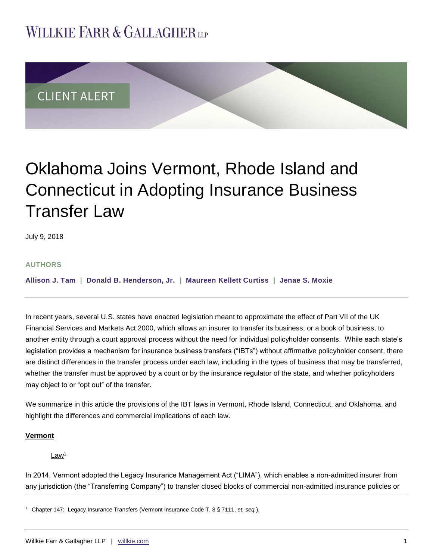# **WILLKIE FARR & GALLAGHERUP**



# Oklahoma Joins Vermont, Rhode Island and Connecticut in Adopting Insurance Business Transfer Law

July 9, 2018

## **AUTHORS**

**[Allison J. Tam](https://www.willkie.com/professionals/t/tam-allison-j) | [Donald B. Henderson, Jr.](https://www.willkie.com/professionals/h/henderson-jr-donald) | [Maureen Kellett Curtiss](https://www.willkie.com/professionals/c/curtiss-maureen-k) | [Jenae S. Moxie](https://www.willkie.com/professionals/m/moxie-jenae)**

In recent years, several U.S. states have enacted legislation meant to approximate the effect of Part VII of the UK Financial Services and Markets Act 2000, which allows an insurer to transfer its business, or a book of business, to another entity through a court approval process without the need for individual policyholder consents. While each state's legislation provides a mechanism for insurance business transfers ("IBTs") without affirmative policyholder consent, there are distinct differences in the transfer process under each law, including in the types of business that may be transferred, whether the transfer must be approved by a court or by the insurance regulator of the state, and whether policyholders may object to or "opt out" of the transfer.

We summarize in this article the provisions of the IBT laws in Vermont, Rhode Island, Connecticut, and Oklahoma, and highlight the differences and commercial implications of each law.

## **Vermont**

#### Law<sup>1</sup>

In 2014, Vermont adopted the Legacy Insurance Management Act ("LIMA"), which enables a non-admitted insurer from any jurisdiction (the "Transferring Company") to transfer closed blocks of commercial non-admitted insurance policies or

<sup>1</sup> Chapter 147: Legacy Insurance Transfers (Vermont Insurance Code T. 8 § 7111, *et. seq.*).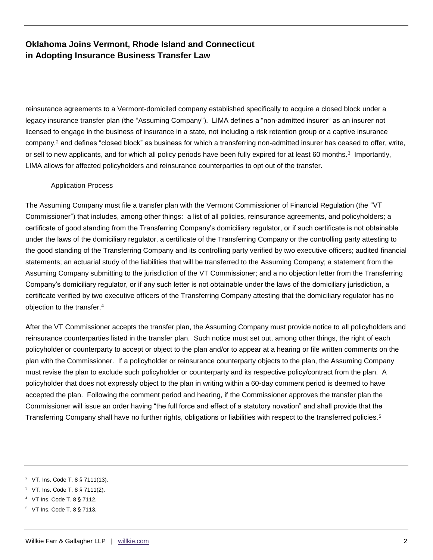reinsurance agreements to a Vermont-domiciled company established specifically to acquire a closed block under a legacy insurance transfer plan (the "Assuming Company"). LIMA defines a "non-admitted insurer" as an insurer not licensed to engage in the business of insurance in a state, not including a risk retention group or a captive insurance company,<sup>2</sup> and defines "closed block" as business for which a transferring non-admitted insurer has ceased to offer, write, or sell to new applicants, and for which all policy periods have been fully expired for at least 60 months.<sup>3</sup> Importantly, LIMA allows for affected policyholders and reinsurance counterparties to opt out of the transfer.

#### Application Process

The Assuming Company must file a transfer plan with the Vermont Commissioner of Financial Regulation (the "VT Commissioner") that includes, among other things: a list of all policies, reinsurance agreements, and policyholders; a certificate of good standing from the Transferring Company's domiciliary regulator, or if such certificate is not obtainable under the laws of the domiciliary regulator, a certificate of the Transferring Company or the controlling party attesting to the good standing of the Transferring Company and its controlling party verified by two executive officers; audited financial statements; an actuarial study of the liabilities that will be transferred to the Assuming Company; a statement from the Assuming Company submitting to the jurisdiction of the VT Commissioner; and a no objection letter from the Transferring Company's domiciliary regulator, or if any such letter is not obtainable under the laws of the domiciliary jurisdiction, a certificate verified by two executive officers of the Transferring Company attesting that the domiciliary regulator has no objection to the transfer.<sup>4</sup>

After the VT Commissioner accepts the transfer plan, the Assuming Company must provide notice to all policyholders and reinsurance counterparties listed in the transfer plan. Such notice must set out, among other things, the right of each policyholder or counterparty to accept or object to the plan and/or to appear at a hearing or file written comments on the plan with the Commissioner. If a policyholder or reinsurance counterparty objects to the plan, the Assuming Company must revise the plan to exclude such policyholder or counterparty and its respective policy/contract from the plan. A policyholder that does not expressly object to the plan in writing within a 60-day comment period is deemed to have accepted the plan. Following the comment period and hearing, if the Commissioner approves the transfer plan the Commissioner will issue an order having "the full force and effect of a statutory novation" and shall provide that the Transferring Company shall have no further rights, obligations or liabilities with respect to the transferred policies.<sup>5</sup>

<sup>2</sup> VT. Ins. Code T. 8 § 7111(13).

<sup>3</sup> VT. Ins. Code T. 8 § 7111(2).

<sup>4</sup> VT Ins. Code T. 8 § 7112.

<sup>5</sup> VT Ins. Code T. 8 § 7113.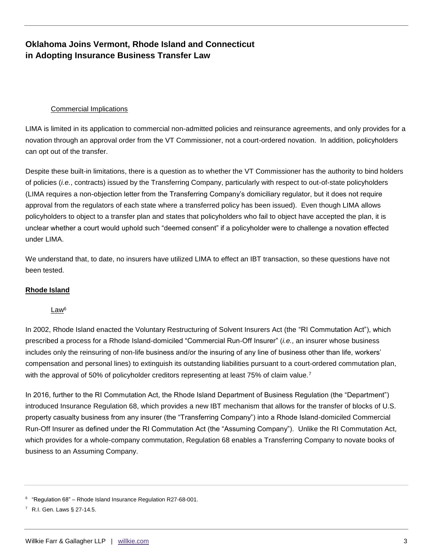## Commercial Implications

LIMA is limited in its application to commercial non-admitted policies and reinsurance agreements, and only provides for a novation through an approval order from the VT Commissioner, not a court-ordered novation. In addition, policyholders can opt out of the transfer.

Despite these built-in limitations, there is a question as to whether the VT Commissioner has the authority to bind holders of policies (*i.e.*, contracts) issued by the Transferring Company, particularly with respect to out-of-state policyholders (LIMA requires a non-objection letter from the Transferring Company's domiciliary regulator, but it does not require approval from the regulators of each state where a transferred policy has been issued). Even though LIMA allows policyholders to object to a transfer plan and states that policyholders who fail to object have accepted the plan, it is unclear whether a court would uphold such "deemed consent" if a policyholder were to challenge a novation effected under LIMA.

We understand that, to date, no insurers have utilized LIMA to effect an IBT transaction, so these questions have not been tested.

## **Rhode Island**

## Law<sup>6</sup>

In 2002, Rhode Island enacted the Voluntary Restructuring of Solvent Insurers Act (the "RI Commutation Act"), which prescribed a process for a Rhode Island-domiciled "Commercial Run-Off Insurer" (*i.e.*, an insurer whose business includes only the reinsuring of non-life business and/or the insuring of any line of business other than life, workers' compensation and personal lines) to extinguish its outstanding liabilities pursuant to a court-ordered commutation plan, with the approval of 50% of policyholder creditors representing at least 75% of claim value.<sup>7</sup>

In 2016, further to the RI Commutation Act, the Rhode Island Department of Business Regulation (the "Department") introduced Insurance Regulation 68, which provides a new IBT mechanism that allows for the transfer of blocks of U.S. property casualty business from any insurer (the "Transferring Company") into a Rhode Island-domiciled Commercial Run-Off Insurer as defined under the RI Commutation Act (the "Assuming Company"). Unlike the RI Commutation Act, which provides for a whole-company commutation, Regulation 68 enables a Transferring Company to novate books of business to an Assuming Company.

<sup>&</sup>lt;sup>6</sup> "Regulation 68" – Rhode Island Insurance Regulation R27-68-001.

<sup>7</sup> R.I. Gen. Laws § 27-14.5.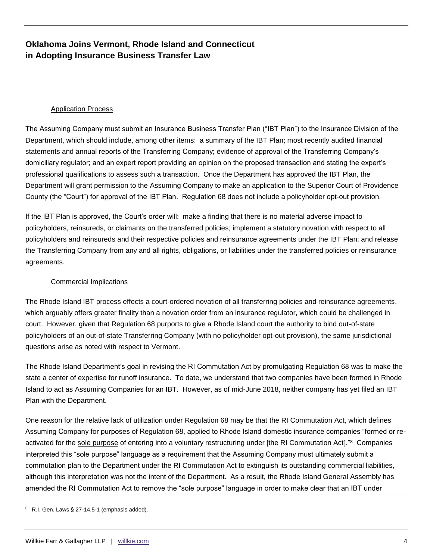### Application Process

The Assuming Company must submit an Insurance Business Transfer Plan ("IBT Plan") to the Insurance Division of the Department, which should include, among other items: a summary of the IBT Plan; most recently audited financial statements and annual reports of the Transferring Company; evidence of approval of the Transferring Company's domiciliary regulator; and an expert report providing an opinion on the proposed transaction and stating the expert's professional qualifications to assess such a transaction. Once the Department has approved the IBT Plan, the Department will grant permission to the Assuming Company to make an application to the Superior Court of Providence County (the "Court") for approval of the IBT Plan. Regulation 68 does not include a policyholder opt-out provision.

If the IBT Plan is approved, the Court's order will: make a finding that there is no material adverse impact to policyholders, reinsureds, or claimants on the transferred policies; implement a statutory novation with respect to all policyholders and reinsureds and their respective policies and reinsurance agreements under the IBT Plan; and release the Transferring Company from any and all rights, obligations, or liabilities under the transferred policies or reinsurance agreements.

### Commercial Implications

The Rhode Island IBT process effects a court-ordered novation of all transferring policies and reinsurance agreements, which arguably offers greater finality than a novation order from an insurance regulator, which could be challenged in court. However, given that Regulation 68 purports to give a Rhode Island court the authority to bind out-of-state policyholders of an out-of-state Transferring Company (with no policyholder opt-out provision), the same jurisdictional questions arise as noted with respect to Vermont.

The Rhode Island Department's goal in revising the RI Commutation Act by promulgating Regulation 68 was to make the state a center of expertise for runoff insurance. To date, we understand that two companies have been formed in Rhode Island to act as Assuming Companies for an IBT. However, as of mid-June 2018, neither company has yet filed an IBT Plan with the Department.

One reason for the relative lack of utilization under Regulation 68 may be that the RI Commutation Act, which defines Assuming Company for purposes of Regulation 68, applied to Rhode Island domestic insurance companies "formed or reactivated for the sole purpose of entering into a voluntary restructuring under [the RI Commutation Act].<sup>"8</sup> Companies interpreted this "sole purpose" language as a requirement that the Assuming Company must ultimately submit a commutation plan to the Department under the RI Commutation Act to extinguish its outstanding commercial liabilities, although this interpretation was not the intent of the Department. As a result, the Rhode Island General Assembly has amended the RI Commutation Act to remove the "sole purpose" language in order to make clear that an IBT under

 $8$  R.I. Gen. Laws § 27-14.5-1 (emphasis added).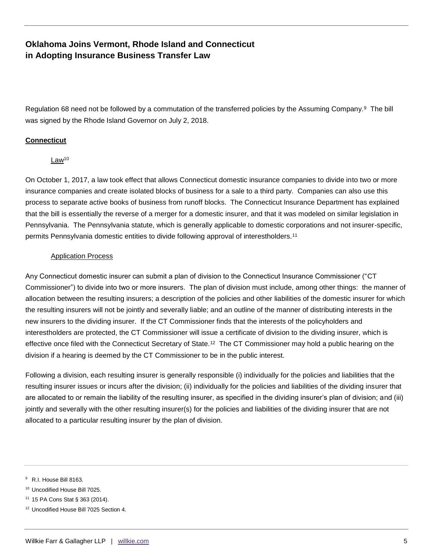Regulation 68 need not be followed by a commutation of the transferred policies by the Assuming Company.<sup>9</sup> The bill was signed by the Rhode Island Governor on July 2, 2018.

## **Connecticut**

## Law<sup>10</sup>

On October 1, 2017, a law took effect that allows Connecticut domestic insurance companies to divide into two or more insurance companies and create isolated blocks of business for a sale to a third party. Companies can also use this process to separate active books of business from runoff blocks. The Connecticut Insurance Department has explained that the bill is essentially the reverse of a merger for a domestic insurer, and that it was modeled on similar legislation in Pennsylvania. The Pennsylvania statute, which is generally applicable to domestic corporations and not insurer-specific, permits Pennsylvania domestic entities to divide following approval of interestholders.<sup>11</sup>

## Application Process

Any Connecticut domestic insurer can submit a plan of division to the Connecticut Insurance Commissioner ("CT Commissioner") to divide into two or more insurers. The plan of division must include, among other things: the manner of allocation between the resulting insurers; a description of the policies and other liabilities of the domestic insurer for which the resulting insurers will not be jointly and severally liable; and an outline of the manner of distributing interests in the new insurers to the dividing insurer. If the CT Commissioner finds that the interests of the policyholders and interestholders are protected, the CT Commissioner will issue a certificate of division to the dividing insurer, which is effective once filed with the Connecticut Secretary of State.<sup>12</sup> The CT Commissioner may hold a public hearing on the division if a hearing is deemed by the CT Commissioner to be in the public interest.

Following a division, each resulting insurer is generally responsible (i) individually for the policies and liabilities that the resulting insurer issues or incurs after the division; (ii) individually for the policies and liabilities of the dividing insurer that are allocated to or remain the liability of the resulting insurer, as specified in the dividing insurer's plan of division; and (iii) jointly and severally with the other resulting insurer(s) for the policies and liabilities of the dividing insurer that are not allocated to a particular resulting insurer by the plan of division.

<sup>&</sup>lt;sup>9</sup> R.I. House Bill 8163.

<sup>&</sup>lt;sup>10</sup> Uncodified House Bill 7025.

<sup>11</sup> 15 PA Cons Stat § 363 (2014).

<sup>12</sup> Uncodified House Bill 7025 Section 4.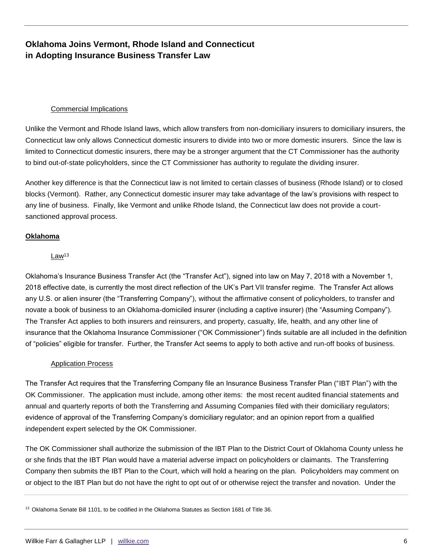#### Commercial Implications

Unlike the Vermont and Rhode Island laws, which allow transfers from non-domiciliary insurers to domiciliary insurers, the Connecticut law only allows Connecticut domestic insurers to divide into two or more domestic insurers. Since the law is limited to Connecticut domestic insurers, there may be a stronger argument that the CT Commissioner has the authority to bind out-of-state policyholders, since the CT Commissioner has authority to regulate the dividing insurer.

Another key difference is that the Connecticut law is not limited to certain classes of business (Rhode Island) or to closed blocks (Vermont). Rather, any Connecticut domestic insurer may take advantage of the law's provisions with respect to any line of business. Finally, like Vermont and unlike Rhode Island, the Connecticut law does not provide a courtsanctioned approval process.

#### **Oklahoma**

#### Law<sup>13</sup>

Oklahoma's Insurance Business Transfer Act (the "Transfer Act"), signed into law on May 7, 2018 with a November 1, 2018 effective date, is currently the most direct reflection of the UK's Part VII transfer regime. The Transfer Act allows any U.S. or alien insurer (the "Transferring Company"), without the affirmative consent of policyholders, to transfer and novate a book of business to an Oklahoma-domiciled insurer (including a captive insurer) (the "Assuming Company"). The Transfer Act applies to both insurers and reinsurers, and property, casualty, life, health, and any other line of insurance that the Oklahoma Insurance Commissioner ("OK Commissioner") finds suitable are all included in the definition of "policies" eligible for transfer. Further, the Transfer Act seems to apply to both active and run-off books of business.

#### Application Process

The Transfer Act requires that the Transferring Company file an Insurance Business Transfer Plan ("IBT Plan") with the OK Commissioner. The application must include, among other items: the most recent audited financial statements and annual and quarterly reports of both the Transferring and Assuming Companies filed with their domiciliary regulators; evidence of approval of the Transferring Company's domiciliary regulator; and an opinion report from a qualified independent expert selected by the OK Commissioner.

The OK Commissioner shall authorize the submission of the IBT Plan to the District Court of Oklahoma County unless he or she finds that the IBT Plan would have a material adverse impact on policyholders or claimants. The Transferring Company then submits the IBT Plan to the Court, which will hold a hearing on the plan. Policyholders may comment on or object to the IBT Plan but do not have the right to opt out of or otherwise reject the transfer and novation. Under the

<sup>&</sup>lt;sup>13</sup> Oklahoma Senate Bill 1101, to be codified in the Oklahoma Statutes as Section 1681 of Title 36.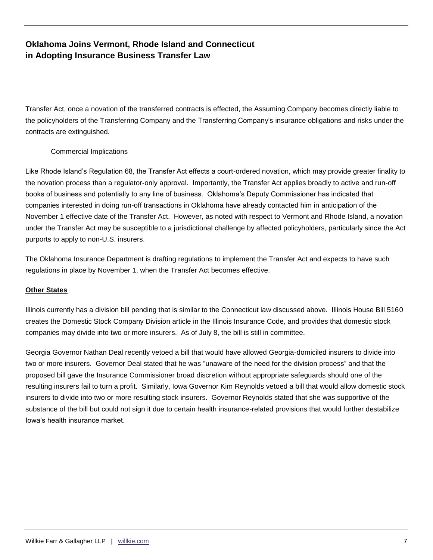Transfer Act, once a novation of the transferred contracts is effected, the Assuming Company becomes directly liable to the policyholders of the Transferring Company and the Transferring Company's insurance obligations and risks under the contracts are extinguished.

## Commercial Implications

Like Rhode Island's Regulation 68, the Transfer Act effects a court-ordered novation, which may provide greater finality to the novation process than a regulator-only approval. Importantly, the Transfer Act applies broadly to active and run-off books of business and potentially to any line of business. Oklahoma's Deputy Commissioner has indicated that companies interested in doing run-off transactions in Oklahoma have already contacted him in anticipation of the November 1 effective date of the Transfer Act. However, as noted with respect to Vermont and Rhode Island, a novation under the Transfer Act may be susceptible to a jurisdictional challenge by affected policyholders, particularly since the Act purports to apply to non-U.S. insurers.

The Oklahoma Insurance Department is drafting regulations to implement the Transfer Act and expects to have such regulations in place by November 1, when the Transfer Act becomes effective.

## **Other States**

Illinois currently has a division bill pending that is similar to the Connecticut law discussed above. Illinois House Bill 5160 creates the Domestic Stock Company Division article in the Illinois Insurance Code, and provides that domestic stock companies may divide into two or more insurers. As of July 8, the bill is still in committee.

Georgia Governor Nathan Deal recently vetoed a bill that would have allowed Georgia-domiciled insurers to divide into two or more insurers. Governor Deal stated that he was "unaware of the need for the division process" and that the proposed bill gave the Insurance Commissioner broad discretion without appropriate safeguards should one of the resulting insurers fail to turn a profit. Similarly, Iowa Governor Kim Reynolds vetoed a bill that would allow domestic stock insurers to divide into two or more resulting stock insurers. Governor Reynolds stated that she was supportive of the substance of the bill but could not sign it due to certain health insurance-related provisions that would further destabilize Iowa's health insurance market.